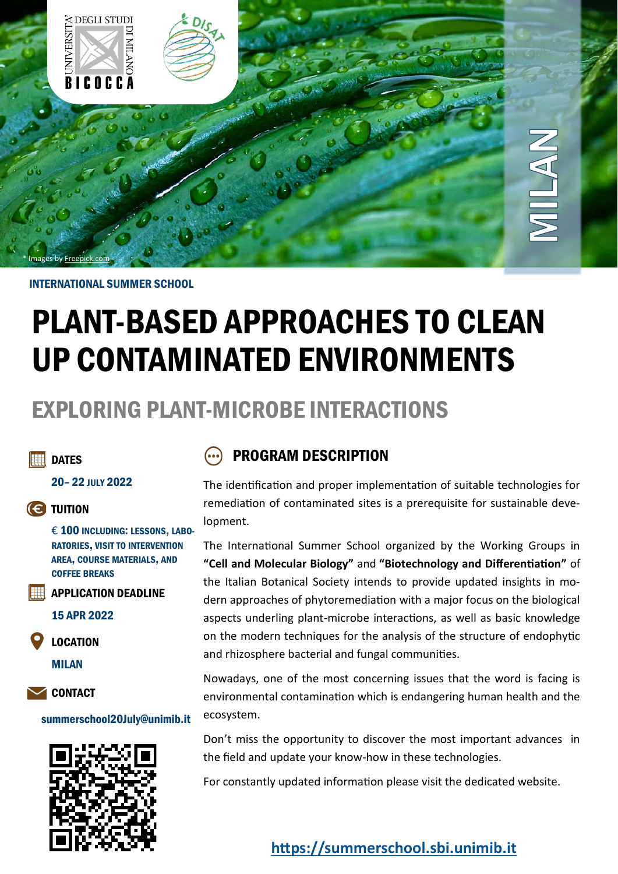

#### INTERNATIONAL SUMMER SCHOOL

# PLANT-BASED APPROACHES TO CLEAN UP CONTAMINATED ENVIRONMENTS

## EXPLORING PLANT-MICROBE INTERACTIONS

#### **H** DATES

20– 22 JULY 2022

#### **(C)** TUITION

€ 100 INCLUDING: LESSONS, LABO-RATORIES, VISIT TO INTERVENTION AREA, COURSE MATERIALS, AND COFFEE BREAKS

APPLICATION DEADLINE

15 APR 2022

LOCATION

MILAN

**SAUCE** CONTACT

#### summerschool20July@unimib.it



### PROGRAM DESCRIPTION

The identification and proper implementation of suitable technologies for remediation of contaminated sites is a prerequisite for sustainable development.

The International Summer School organized by the Working Groups in **"Cell and Molecular Biology"** and **"Biotechnology and Differentiation"** of the Italian Botanical Society intends to provide updated insights in modern approaches of phytoremediation with a major focus on the biological aspects underling plant-microbe interactions, as well as basic knowledge on the modern techniques for the analysis of the structure of endophytic and rhizosphere bacterial and fungal communities.

Nowadays, one of the most concerning issues that the word is facing is environmental contamination which is endangering human health and the ecosystem.

Don't miss the opportunity to discover the most important advances in the field and update your know-how in these technologies.

For constantly updated information please visit the dedicated website.

**<https://summerschool.sbi.unimib.it>**